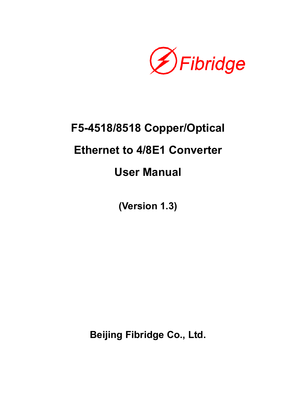

# **F5-4518/8518 Copper/Optical Ethernet to 4/8E1 Converter User Manual**

**(Version 1.3)** 

**Beijing Fibridge Co., Ltd.**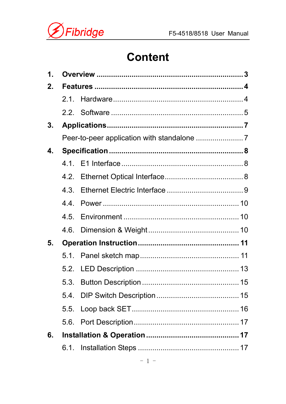



# **Content**

| $\mathbf 1$ .  |     |  |  |  |  |  |  |
|----------------|-----|--|--|--|--|--|--|
| 2.             |     |  |  |  |  |  |  |
|                | 2.1 |  |  |  |  |  |  |
|                |     |  |  |  |  |  |  |
| 3.             |     |  |  |  |  |  |  |
|                |     |  |  |  |  |  |  |
| $\mathbf 4$ .  |     |  |  |  |  |  |  |
|                |     |  |  |  |  |  |  |
|                |     |  |  |  |  |  |  |
|                |     |  |  |  |  |  |  |
|                | 44  |  |  |  |  |  |  |
|                |     |  |  |  |  |  |  |
|                |     |  |  |  |  |  |  |
| 5 <sub>1</sub> |     |  |  |  |  |  |  |
|                |     |  |  |  |  |  |  |
|                |     |  |  |  |  |  |  |
|                |     |  |  |  |  |  |  |
|                |     |  |  |  |  |  |  |
|                |     |  |  |  |  |  |  |
|                |     |  |  |  |  |  |  |
| 6.             |     |  |  |  |  |  |  |
|                |     |  |  |  |  |  |  |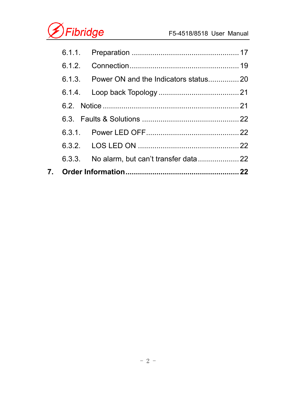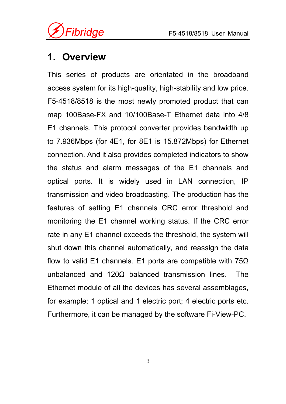

# **1. Overview**

This series of products are orientated in the broadband access system for its high-quality, high-stability and low price. F5-4518/8518 is the most newly promoted product that can map 100Base-FX and 10/100Base-T Ethernet data into 4/8 E1 channels. This protocol converter provides bandwidth up to 7.936Mbps (for 4E1, for 8E1 is 15.872Mbps) for Ethernet connection. And it also provides completed indicators to show the status and alarm messages of the E1 channels and optical ports. It is widely used in LAN connection, IP transmission and video broadcasting. The production has the features of setting E1 channels CRC error threshold and monitoring the E1 channel working status. If the CRC error rate in any E1 channel exceeds the threshold, the system will shut down this channel automatically, and reassign the data flow to valid E1 channels. E1 ports are compatible with  $75\Omega$ unbalanced and 120Ω balanced transmission lines. The Ethernet module of all the devices has several assemblages, for example: 1 optical and 1 electric port; 4 electric ports etc. Furthermore, it can be managed by the software Fi-View-PC.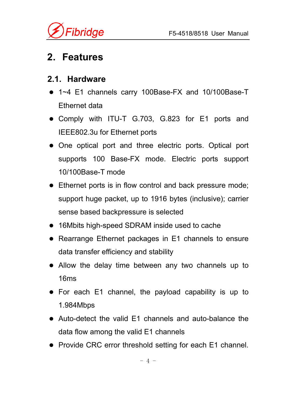

# **2. Features**

#### **2.1. Hardware**

- 1~4 E1 channels carry 100Base-FX and 10/100Base-T Ethernet data
- Comply with ITU-T G.703, G.823 for E1 ports and IEEE802.3u for Ethernet ports
- One optical port and three electric ports. Optical port supports 100 Base-FX mode. Electric ports support 10/100Base-T mode
- Ethernet ports is in flow control and back pressure mode; support huge packet, up to 1916 bytes (inclusive); carrier sense based backpressure is selected
- 16Mbits high-speed SDRAM inside used to cache
- Rearrange Ethernet packages in E1 channels to ensure data transfer efficiency and stability
- Allow the delay time between any two channels up to 16ms
- $\bullet$  For each E1 channel, the payload capability is up to 1.984Mbps
- Auto-detect the valid E1 channels and auto-balance the data flow among the valid E1 channels
- Provide CRC error threshold setting for each E1 channel.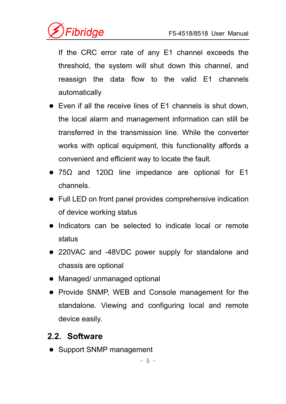

If the CRC error rate of any E1 channel exceeds the threshold, the system will shut down this channel, and reassign the data flow to the valid E1 channels automatically

- $\bullet$  Even if all the receive lines of E1 channels is shut down, the local alarm and management information can still be transferred in the transmission line. While the converter works with optical equipment, this functionality affords a convenient and efficient way to locate the fault.
- 75 $\Omega$  and 120 $\Omega$  line impedance are optional for E1 channels.
- Full LED on front panel provides comprehensive indication of device working status
- Indicators can be selected to indicate local or remote status
- 220VAC and -48VDC power supply for standalone and chassis are optional
- Managed/ unmanaged optional
- Provide SNMP, WEB and Console management for the standalone. Viewing and configuring local and remote device easily.

#### **2.2. Software**

• Support SNMP management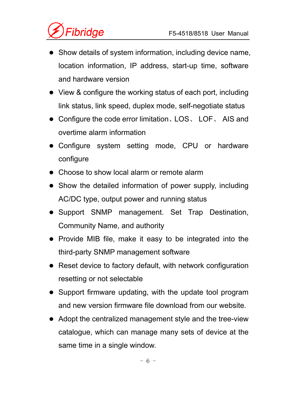- Show details of system information, including device name, location information, IP address, start-up time, software and hardware version
- View & configure the working status of each port, including link status, link speed, duplex mode, self-negotiate status
- Configure the code error limitation、LOS、LOF、AIS and overtime alarm information
- Configure system setting mode, CPU or hardware configure
- Choose to show local alarm or remote alarm
- Show the detailed information of power supply, including AC/DC type, output power and running status
- Support SNMP management. Set Trap Destination, Community Name, and authority
- Provide MIB file, make it easy to be integrated into the third-party SNMP management software
- $\bullet$  Reset device to factory default, with network configuration resetting or not selectable
- Support firmware updating, with the update tool program and new version firmware file download from our website.
- Adopt the centralized management style and the tree-view catalogue, which can manage many sets of device at the same time in a single window.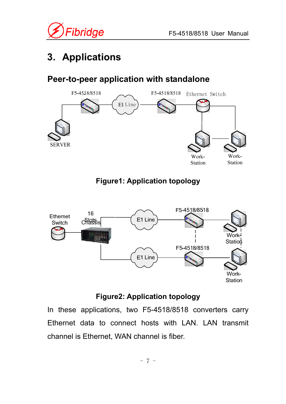

# **3. Applications**

## **Peer-to-peer application with standalone**



### **Figure1: Application topology**



#### **Figure2: Application topology**

In these applications, two F5-4518/8518 converters carry Ethernet data to connect hosts with LAN. LAN transmit channel is Ethernet, WAN channel is fiber.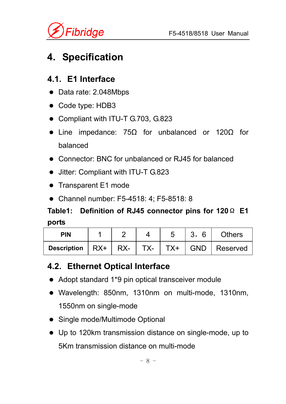

# **4. Specification**

### **4.1. E1 Interface**

- Data rate: 2.048Mbps
- Code type: HDB3
- Compliant with ITU-T G.703, G.823
- Line impedance:  $75\Omega$  for unbalanced or  $120\Omega$  for balanced
- Connector: BNC for unbalanced or RJ45 for balanced
- Jitter: Compliant with ITU-T G.823
- Transparent E1 mode
- Channel number: F5-4518: 4; F5-8518: 8

# **Table1: Definition of RJ45 connector pins for 120**Ω **E1 ports**

| <b>PIN</b>                                                                               |  |  | <b>Others</b> |
|------------------------------------------------------------------------------------------|--|--|---------------|
| Description $\vert$ RX+ $\vert$ RX- $\vert$ TX- $\vert$ TX+ $\vert$ GND $\vert$ Reserved |  |  |               |

#### **4.2. Ethernet Optical Interface**

- Adopt standard 1\*9 pin optical transceiver module
- Wavelength: 850nm, 1310nm on multi-mode, 1310nm, 1550nm on single-mode
- Single mode/Multimode Optional
- Up to 120km transmission distance on single-mode, up to 5Km transmission distance on multi-mode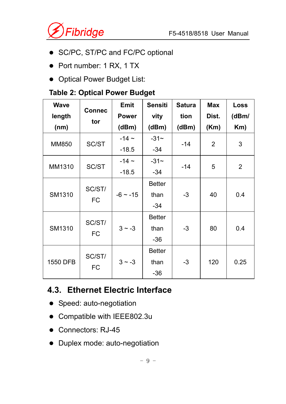

- SC/PC, ST/PC and FC/PC optional
- Port number: 1 RX, 1 TX
- Optical Power Budget List:

#### **Table 2: Optical Power Budget**

| <b>Wave</b>   | <b>Connec</b>       | <b>Emit</b>  | <b>Sensiti</b> | <b>Satura</b> | <b>Max</b> | <b>Loss</b>    |
|---------------|---------------------|--------------|----------------|---------------|------------|----------------|
| length        | tor                 | <b>Power</b> | vity           | tion          | Dist.      | (dBm)          |
| (nm)          |                     | (dBm)        | (dBm)          | (dBm)         | (Km)       | Km)            |
| <b>MM850</b>  | SC/ST               | $-14$ ~      | $-31$ ~        |               | 2          | 3              |
|               |                     | $-18.5$      | $-34$          | $-14$         |            |                |
| MM1310        |                     | $-14$ ~      | $-31-$         | $-14$         |            |                |
|               | SC/ST               | $-18.5$      | $-34$          |               | 5          | $\overline{2}$ |
|               | SC/ST/<br><b>FC</b> |              | <b>Better</b>  |               |            |                |
| <b>SM1310</b> |                     | $-6$ ~ $-15$ | than           | $-3$          | 40         | 0.4            |
|               |                     |              | $-34$          |               |            |                |
|               |                     |              | <b>Better</b>  |               |            |                |
| <b>SM1310</b> | SC/ST/              | $3 \sim -3$  | than           | $-3$          | 80         | 0.4            |
|               | <b>FC</b>           |              | $-36$          |               |            |                |
|               |                     |              | <b>Better</b>  |               |            |                |
| 1550 DFB      | SC/ST/              | $3 \sim -3$  | than           | $-3$          | 120        | 0.25           |
|               | <b>FC</b>           |              | $-36$          |               |            |                |

# **4.3. Ethernet Electric Interface**

- Speed: auto-negotiation
- Compatible with IEEE802.3u
- Connectors: RJ-45
- Duplex mode: auto-negotiation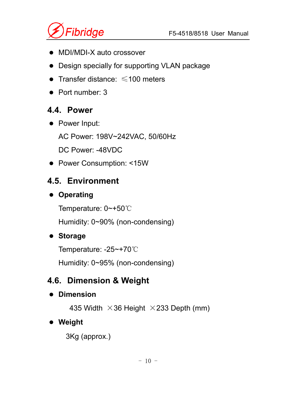

- MDI/MDI-X auto crossover
- Design specially for supporting VLAN package
- Transfer distance:  $\leq 100$  meters
- $\bullet$  Port number: 3

# **4.4. Power**

• Power Input:

AC Power: 198V~242VAC, 50/60Hz

DC Power: -48VDC

• Power Consumption: <15W

# **4.5. Environment**

# $\bullet$  Operating

Temperature: 0~+50℃

Humidity: 0~90% (non-condensing)

# $\bullet$  Storage

Temperature: -25~+70℃

Humidity: 0~95% (non-condensing)

# **4.6. Dimension & Weight**

### $\bullet$  Dimension

435 Width  $\times$ 36 Height  $\times$ 233 Depth (mm)

# $\bullet$  Weight

3Kg (approx.)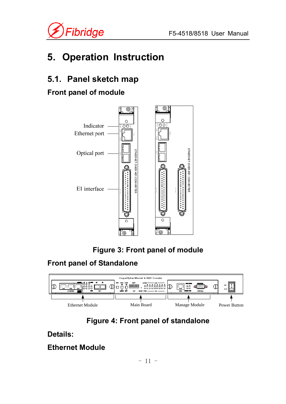

# **5. Operation Instruction**

# **5.1. Panel sketch map**

### **Front panel of module**





#### **Front panel of Standalone**





#### **Details:**

#### **Ethernet Module**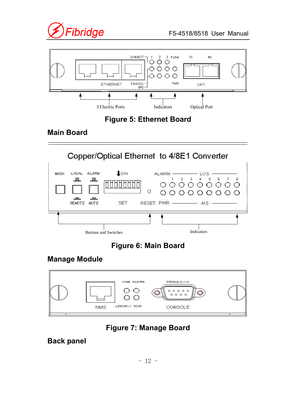



#### **Figure 5: Ethernet Board**

#### **Main Board**



### **Figure 6: Main Board**

#### **Manage Module**



#### **Figure 7: Manage Board**

#### **Back panel**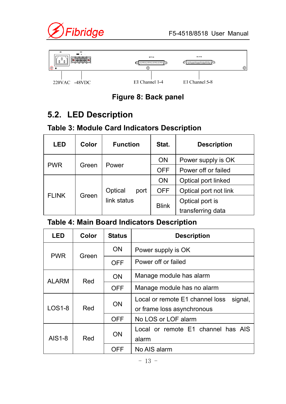



#### **Figure 8: Back panel**

### **5.2. LED Description**

#### **Table 3: Module Card Indicators Description**

| <b>LED</b>   | Color | <b>Function</b> | Stat.        | <b>Description</b>    |
|--------------|-------|-----------------|--------------|-----------------------|
|              |       |                 | <b>ON</b>    | Power supply is OK    |
| <b>PWR</b>   | Green | Power           | <b>OFF</b>   | Power off or failed   |
|              |       |                 | <b>ON</b>    | Optical port linked   |
| <b>FLINK</b> | Green | Optical<br>port | <b>OFF</b>   | Optical port not link |
|              |       | link status     | <b>Blink</b> | Optical port is       |
|              |       |                 |              | transferring data     |

#### **Table 4: Main Board Indicators Description**

| LED           | <b>Color</b> | <b>Status</b> | <b>Description</b>                                                       |                                    |
|---------------|--------------|---------------|--------------------------------------------------------------------------|------------------------------------|
|               | Green        | <b>ON</b>     | Power supply is OK                                                       |                                    |
| <b>PWR</b>    |              | <b>OFF</b>    | Power off or failed                                                      |                                    |
| <b>ALARM</b>  | Red          | <b>ON</b>     | Manage module has alarm                                                  |                                    |
|               |              | <b>OFF</b>    | Manage module has no alarm                                               |                                    |
| $LOS1-8$      | Red          | <b>ON</b>     | Local or remote E1 channel loss<br>signal,<br>or frame loss asynchronous |                                    |
|               |              | <b>OFF</b>    | No LOS or LOF alarm                                                      |                                    |
| <b>AIS1-8</b> | Red          |               | <b>ON</b>                                                                | Local or remote E1 channel has AIS |
|               |              |               | alarm                                                                    |                                    |
|               |              |               | OFF                                                                      | No AIS alarm                       |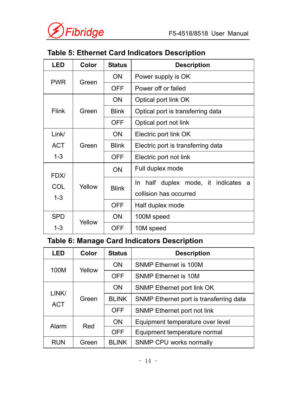

### **Table 5: Ethernet Card Indicators Description**

| LED          | <b>Color</b> | <b>Status</b> | <b>Description</b>                         |
|--------------|--------------|---------------|--------------------------------------------|
| <b>PWR</b>   | Green        | <b>ON</b>     | Power supply is OK                         |
|              |              | <b>OFF</b>    | Power off or failed                        |
|              |              | <b>ON</b>     | Optical port link OK                       |
| <b>Flink</b> | Green        | <b>Blink</b>  | Optical port is transferring data          |
|              |              | <b>OFF</b>    | Optical port not link                      |
| Link/        | Green        | <b>ON</b>     | Electric port link OK                      |
| <b>ACT</b>   |              | <b>Blink</b>  | Electric port is transferring data         |
| $1 - 3$      |              | <b>OFF</b>    | Electric port not link                     |
| FDX/         |              | <b>ON</b>     | Full duplex mode                           |
| COL          | Yellow       | <b>Blink</b>  | half duplex mode, it indicates<br>In.<br>a |
| $1 - 3$      |              |               | collision has occurred                     |
|              |              | <b>OFF</b>    | Half duplex mode                           |
| <b>SPD</b>   | Yellow       | <b>ON</b>     | 100M speed                                 |
| $1 - 3$      |              | <b>OFF</b>    | 10M speed                                  |

# **Table 6: Manage Card Indicators Description**

| <b>LED</b>          | Color  | <b>Status</b> | <b>Description</b>                      |
|---------------------|--------|---------------|-----------------------------------------|
|                     |        | <b>ON</b>     | <b>SNMP Ethernet is 100M</b>            |
| 100M                | Yellow | <b>OFF</b>    | <b>SNMP Ethernet is 10M</b>             |
| LINK/<br><b>ACT</b> | Green  | <b>ON</b>     | <b>SNMP Ethernet port link OK</b>       |
|                     |        | <b>BLINK</b>  | SNMP Ethernet port is transferring data |
|                     |        | <b>OFF</b>    | <b>SNMP Ethernet port not link</b>      |
| Alarm               | Red    | <b>ON</b>     | Equipment temperature over level        |
|                     |        | <b>OFF</b>    | Equipment temperature normal            |
| <b>RUN</b>          | Green  | <b>BLINK</b>  | SNMP CPU works normally                 |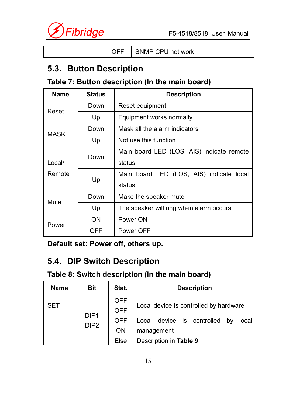

|--|

### **5.3. Button Description**

#### **Table 7: Button description (In the main board)**

| <b>Name</b> | <b>Status</b> | <b>Description</b>                        |
|-------------|---------------|-------------------------------------------|
| Reset       | Down          | Reset equipment                           |
|             | Up            | Equipment works normally                  |
| <b>MASK</b> | Down          | Mask all the alarm indicators             |
|             | Up            | Not use this function                     |
|             | Down          | Main board LED (LOS, AIS) indicate remote |
| Local/      |               | status                                    |
| Remote      |               | Main board LED (LOS, AIS) indicate local  |
|             | Up            | status                                    |
| Mute        | Down          | Make the speaker mute                     |
|             | Up            | The speaker will ring when alarm occurs   |
|             | ON            | Power ON                                  |
| Power       | OFF           | Power OFF                                 |

**Default set: Power off, others up.** 

# **5.4. DIP Switch Description**

#### **Table 8: Switch description (In the main board)**

| <b>Name</b> | <b>Bit</b>                           | Stat.                    | <b>Description</b>                                      |
|-------------|--------------------------------------|--------------------------|---------------------------------------------------------|
| <b>SET</b>  | DIP <sub>1</sub><br>DIP <sub>2</sub> | <b>OFF</b><br><b>OFF</b> | Local device Is controlled by hardware                  |
|             |                                      | <b>OFF</b><br><b>ON</b>  | Local device is controlled<br>by<br>local<br>management |
|             |                                      | <b>Else</b>              | Description in Table 9                                  |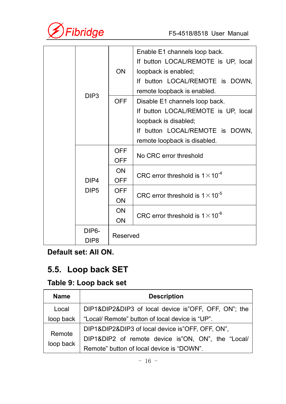

|  |                    |            | Enable E1 channels loop back.             |  |  |
|--|--------------------|------------|-------------------------------------------|--|--|
|  |                    |            | If button LOCAL/REMOTE is UP, local       |  |  |
|  |                    | <b>ON</b>  | loopback is enabled;                      |  |  |
|  |                    |            | If button LOCAL/REMOTE is DOWN,           |  |  |
|  | DIP <sub>3</sub>   |            | remote loopback is enabled.               |  |  |
|  |                    | <b>OFF</b> | Disable E1 channels loop back.            |  |  |
|  |                    |            | If button LOCAL/REMOTE is UP, local       |  |  |
|  |                    |            | loopback is disabled;                     |  |  |
|  |                    |            | If button LOCAL/REMOTE is DOWN,           |  |  |
|  |                    |            | remote loopback is disabled.              |  |  |
|  |                    | <b>OFF</b> |                                           |  |  |
|  |                    | <b>OFF</b> | No CRC error threshold                    |  |  |
|  |                    | <b>ON</b>  |                                           |  |  |
|  | DIP4               | <b>OFF</b> | CRC error threshold is $1 \times 10^{-4}$ |  |  |
|  | DIP <sub>5</sub>   | <b>OFF</b> |                                           |  |  |
|  |                    | <b>ON</b>  | CRC error threshold is $1 \times 10^{-5}$ |  |  |
|  |                    | <b>ON</b>  |                                           |  |  |
|  |                    | <b>ON</b>  | CRC error threshold is $1 \times 10^{-6}$ |  |  |
|  | DIP <sub>6</sub> - |            |                                           |  |  |
|  | DIP <sub>8</sub>   | Reserved   |                                           |  |  |

**Default set: All ON.** 

# **5.5. Loop back SET**

### **Table 9: Loop back set**

| <b>Name</b>         | <b>Description</b>                                   |
|---------------------|------------------------------------------------------|
| Local               | DIP1&DIP2&DIP3 of local device is"OFF, OFF, ON"; the |
| loop back           | "Local/ Remote" button of local device is "UP".      |
| Remote<br>loop back | DIP1&DIP2&DIP3 of local device is"OFF, OFF, ON",     |
|                     | DIP1&DIP2 of remote device is"ON, ON", the "Local/   |
|                     | Remote" button of local device is "DOWN".            |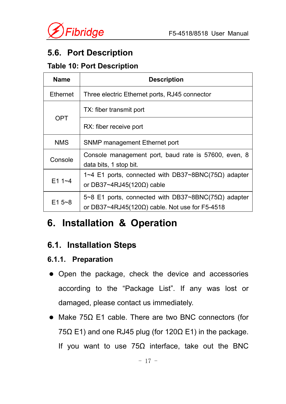

### **5.6. Port Description**

#### **Table 10: Port Description**

| <b>Name</b>     | <b>Description</b>                                                                                             |
|-----------------|----------------------------------------------------------------------------------------------------------------|
| <b>Ethernet</b> | Three electric Ethernet ports, RJ45 connector                                                                  |
| <b>OPT</b>      | TX: fiber transmit port                                                                                        |
|                 | RX: fiber receive port                                                                                         |
| <b>NMS</b>      | <b>SNMP management Ethernet port</b>                                                                           |
| Console         | Console management port, baud rate is 57600, even, 8<br>data bits, 1 stop bit.                                 |
| $E11 - 4$       | $1~4$ E1 ports, connected with DB37~8BNC(75Ω) adapter<br>or DB37~4RJ45(120 $\Omega$ ) cable                    |
| $E15 - 8$       | 5~8 E1 ports, connected with DB37~8BNC(75Ω) adapter<br>or DB37~4RJ45(120 $\Omega$ ) cable. Not use for F5-4518 |

# **6. Installation & Operation**

#### **6.1. Installation Steps**

#### **6.1.1. Preparation**

- Open the package, check the device and accessories according to the "Package List". If any was lost or damaged, please contact us immediately.
- Make 75 $\Omega$  E1 cable. There are two BNC connectors (for 75Ω E1) and one RJ45 plug (for 120Ω E1) in the package. If you want to use  $75\Omega$  interface, take out the BNC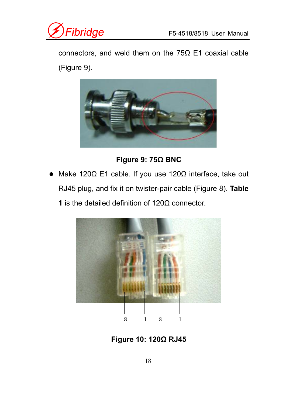

connectors, and weld them on the 75Ω E1 coaxial cable (Figure 9).



**Figure 9: 75Ω BNC** 

• Make 120Ω E1 cable. If you use 120Ω interface, take out RJ45 plug, and fix it on twister-pair cable (Figure 8). **Table 1** is the detailed definition of 120Ω connector.



**Figure 10: 120Ω RJ45**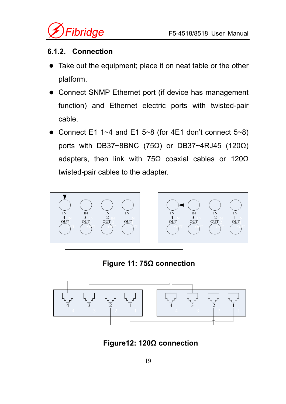

#### **6.1.2. Connection**

- Take out the equipment; place it on neat table or the other platform.
- Connect SNMP Ethernet port (if device has management function) and Ethernet electric ports with twisted-pair cable.
- Connect E1 1~4 and E1 5~8 (for 4E1 don't connect  $5~8$ ) ports with DB37~8BNC (75Ω) or DB37~4RJ45 (120Ω) adapters, then link with 75 $\Omega$  coaxial cables or 120 $\Omega$ twisted-pair cables to the adapter.



**Figure 11: 75Ω connection** 



 **Figure12: 120Ω connection**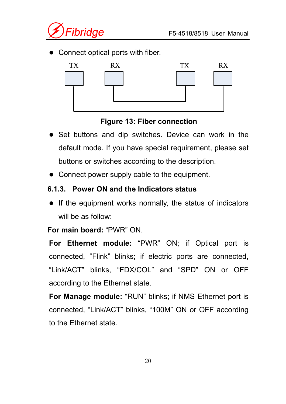

• Connect optical ports with fiber.



#### **Figure 13: Fiber connection**

- Set buttons and dip switches. Device can work in the default mode. If you have special requirement, please set buttons or switches according to the description.
- Connect power supply cable to the equipment.

#### **6.1.3. Power ON and the Indicators status**

 $\bullet$  If the equipment works normally, the status of indicators will be as follow:

#### **For main board:** "PWR" ON.

**For Ethernet module:** "PWR" ON; if Optical port is connected, "Flink" blinks; if electric ports are connected, "Link/ACT" blinks, "FDX/COL" and "SPD" ON or OFF according to the Ethernet state.

**For Manage module:** "RUN" blinks; if NMS Ethernet port is connected, "Link/ACT" blinks, "100M" ON or OFF according to the Ethernet state.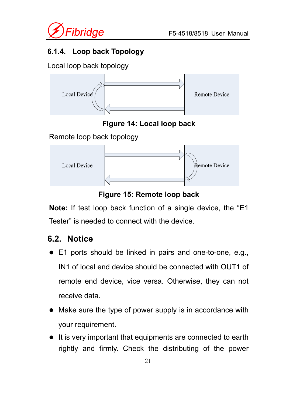

#### **6.1.4. Loop back Topology**

Local loop back topology



**Figure 14: Local loop back** 

Remote loop back topology



**Figure 15: Remote loop back**

**Note:** If test loop back function of a single device, the "E1 Tester" is needed to connect with the device.

# **6.2. Notice**

- E1 ports should be linked in pairs and one-to-one, e.g., IN1 of local end device should be connected with OUT1 of remote end device, vice versa. Otherwise, they can not receive data.
- Make sure the type of power supply is in accordance with your requirement.
- $\bullet$  It is very important that equipments are connected to earth rightly and firmly. Check the distributing of the power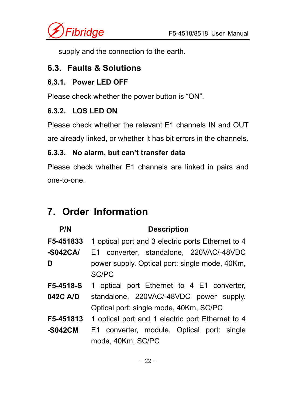

supply and the connection to the earth.

### **6.3. Faults & Solutions**

#### **6.3.1. Power LED OFF**

Please check whether the power button is "ON".

#### **6.3.2. LOS LED ON**

Please check whether the relevant E1 channels IN and OUT are already linked, or whether it has bit errors in the channels.

#### **6.3.3. No alarm, but can't transfer data**

Please check whether E1 channels are linked in pairs and one-to-one.

# **7. Order Information**

#### **P/N Description**

**F5-451833 -S042CA/ D**  1 optical port and 3 electric ports Ethernet to 4 E1 converter, standalone, 220VAC/-48VDC power supply. Optical port: single mode, 40Km, SC/PC

- **F5-4518-S 042C A/D**  1 optical port Ethernet to 4 E1 converter, standalone, 220VAC/-48VDC power supply. Optical port: single mode, 40Km, SC/PC
- **F5-451813** 1 optical port and 1 electric port Ethernet to 4
- **-S042CM**  E1 converter, module. Optical port: single mode, 40Km, SC/PC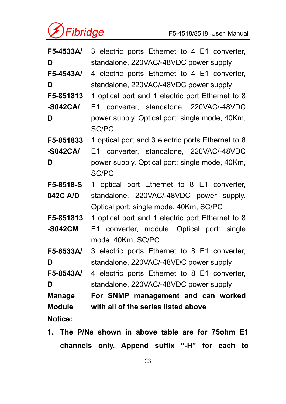

| F5-4533A/      | 3 electric ports Ethernet to 4 E1 converter,                   |
|----------------|----------------------------------------------------------------|
| D              | standalone, 220VAC/-48VDC power supply                         |
| F5-4543A/      | 4 electric ports Ethernet to 4 E1 converter,                   |
| D              | standalone, 220VAC/-48VDC power supply                         |
| F5-851813      | 1 optical port and 1 electric port Ethernet to 8               |
| $-S042CA/$     | E1 converter, standalone, 220VAC/-48VDC                        |
| D              | power supply. Optical port: single mode, 40Km,<br><b>SC/PC</b> |
| F5-851833      | 1 optical port and 3 electric ports Ethernet to 8              |
| $-S042CA/$     | E1 converter, standalone, 220VAC/-48VDC                        |
| D              | power supply. Optical port: single mode, 40Km,                 |
|                | <b>SC/PC</b>                                                   |
| F5-8518-S      | 1 optical port Ethernet to 8 E1 converter,                     |
| 042C A/D       | standalone, 220VAC/-48VDC power supply.                        |
|                | Optical port: single mode, 40Km, SC/PC                         |
| F5-851813      | 1 optical port and 1 electric port Ethernet to 8               |
| -S042CM        | E1 converter, module. Optical port: single                     |
|                | mode, 40Km, SC/PC                                              |
| F5-8533A/      | 3 electric ports Ethernet to 8 E1 converter,                   |
| D              | standalone, 220VAC/-48VDC power supply                         |
| F5-8543A/      | 4 electric ports Ethernet to 8 E1 converter,                   |
| D              | standalone, 220VAC/-48VDC power supply                         |
| Manage         | For SNMP management and can worked                             |
| <b>Module</b>  | with all of the series listed above                            |
| <b>Notice:</b> |                                                                |

**1. The P/Ns shown in above table are for 75ohm E1 channels only. Append suffix "-H" for each to**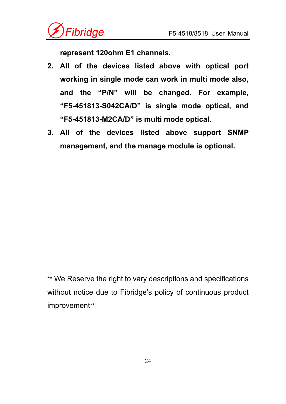

**represent 120ohm E1 channels.** 

- **2. All of the devices listed above with optical port working in single mode can work in multi mode also, and the "P/N" will be changed. For example, "F5-451813-S042CA/D" is single mode optical, and "F5-451813-M2CA/D" is multi mode optical.**
- **3. All of the devices listed above support SNMP management, and the manage module is optional.**

\*\* We Reserve the right to vary descriptions and specifications without notice due to Fibridge's policy of continuous product improvement\*\*